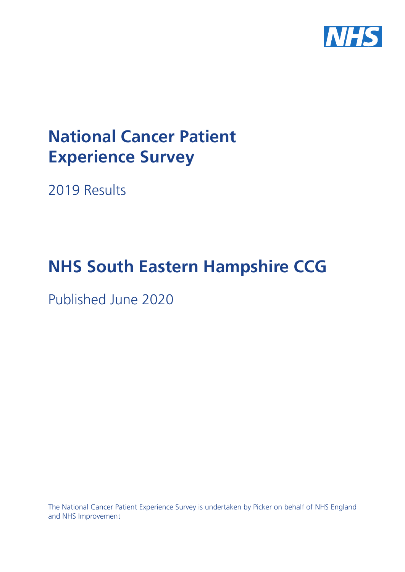

# **National Cancer Patient Experience Survey**

2019 Results

# **NHS South Eastern Hampshire CCG**

Published June 2020

The National Cancer Patient Experience Survey is undertaken by Picker on behalf of NHS England and NHS Improvement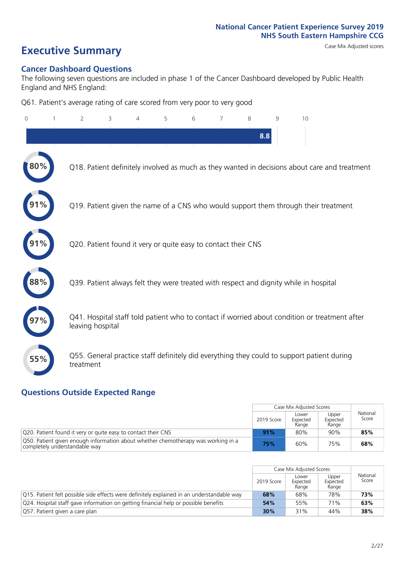# **Executive Summary** Case Mix Adjusted scores

### **Cancer Dashboard Questions**

The following seven questions are included in phase 1 of the Cancer Dashboard developed by Public Health England and NHS England:

Q61. Patient's average rating of care scored from very poor to very good

| $\Omega$ | $\overline{2}$                                                | 3 | 5 | 6 | 7 | 8   | 9 | 10                                                                                            |  |
|----------|---------------------------------------------------------------|---|---|---|---|-----|---|-----------------------------------------------------------------------------------------------|--|
|          |                                                               |   |   |   |   | 8.8 |   |                                                                                               |  |
| 80%      |                                                               |   |   |   |   |     |   | Q18. Patient definitely involved as much as they wanted in decisions about care and treatment |  |
|          |                                                               |   |   |   |   |     |   | Q19. Patient given the name of a CNS who would support them through their treatment           |  |
|          | Q20. Patient found it very or quite easy to contact their CNS |   |   |   |   |     |   |                                                                                               |  |
| 88%      |                                                               |   |   |   |   |     |   | Q39. Patient always felt they were treated with respect and dignity while in hospital         |  |
|          | leaving hospital                                              |   |   |   |   |     |   | Q41. Hospital staff told patient who to contact if worried about condition or treatment after |  |
| 55%      | treatment                                                     |   |   |   |   |     |   | Q55. General practice staff definitely did everything they could to support patient during    |  |

### **Questions Outside Expected Range**

|                                                                                                                    |            | Case Mix Adjusted Scores   |                            |                   |
|--------------------------------------------------------------------------------------------------------------------|------------|----------------------------|----------------------------|-------------------|
|                                                                                                                    | 2019 Score | Lower<br>Expected<br>Range | Upper<br>Expected<br>Range | National<br>Score |
| Q20. Patient found it very or quite easy to contact their CNS                                                      | 91%        | 80%                        | 90%                        | 85%               |
| O50. Patient given enough information about whether chemotherapy was working in a<br>completely understandable way | 75%        | 60%                        | 75%                        | 68%               |

|                                                                                            |            | Case Mix Adjusted Scores   |                            |                   |
|--------------------------------------------------------------------------------------------|------------|----------------------------|----------------------------|-------------------|
|                                                                                            | 2019 Score | Lower<br>Expected<br>Range | Upper<br>Expected<br>Range | National<br>Score |
| O15. Patient felt possible side effects were definitely explained in an understandable way | 68%        | 68%                        | 78%                        | 73%               |
| Q24. Hospital staff gave information on getting financial help or possible benefits        | 54%        | 55%                        | 71%                        | 63%               |
| Q57. Patient given a care plan                                                             | 30%        | 31%                        | 44%                        | 38%               |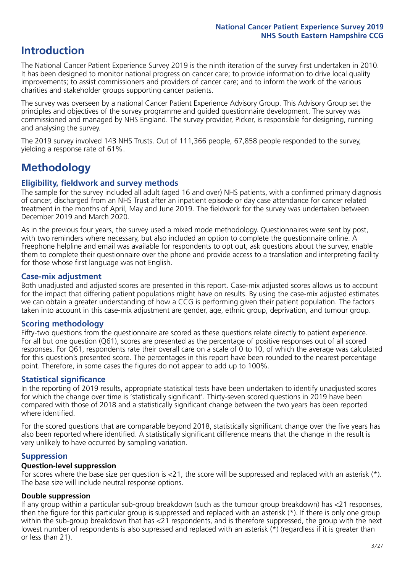### **Introduction**

The National Cancer Patient Experience Survey 2019 is the ninth iteration of the survey first undertaken in 2010. It has been designed to monitor national progress on cancer care; to provide information to drive local quality improvements; to assist commissioners and providers of cancer care; and to inform the work of the various charities and stakeholder groups supporting cancer patients.

The survey was overseen by a national Cancer Patient Experience Advisory Group. This Advisory Group set the principles and objectives of the survey programme and guided questionnaire development. The survey was commissioned and managed by NHS England. The survey provider, Picker, is responsible for designing, running and analysing the survey.

The 2019 survey involved 143 NHS Trusts. Out of 111,366 people, 67,858 people responded to the survey, yielding a response rate of 61%.

## **Methodology**

### **Eligibility, eldwork and survey methods**

The sample for the survey included all adult (aged 16 and over) NHS patients, with a confirmed primary diagnosis of cancer, discharged from an NHS Trust after an inpatient episode or day case attendance for cancer related treatment in the months of April, May and June 2019. The fieldwork for the survey was undertaken between December 2019 and March 2020.

As in the previous four years, the survey used a mixed mode methodology. Questionnaires were sent by post, with two reminders where necessary, but also included an option to complete the questionnaire online. A Freephone helpline and email was available for respondents to opt out, ask questions about the survey, enable them to complete their questionnaire over the phone and provide access to a translation and interpreting facility for those whose first language was not English.

### **Case-mix adjustment**

Both unadjusted and adjusted scores are presented in this report. Case-mix adjusted scores allows us to account for the impact that differing patient populations might have on results. By using the case-mix adjusted estimates we can obtain a greater understanding of how a CCG is performing given their patient population. The factors taken into account in this case-mix adjustment are gender, age, ethnic group, deprivation, and tumour group.

### **Scoring methodology**

Fifty-two questions from the questionnaire are scored as these questions relate directly to patient experience. For all but one question (Q61), scores are presented as the percentage of positive responses out of all scored responses. For Q61, respondents rate their overall care on a scale of 0 to 10, of which the average was calculated for this question's presented score. The percentages in this report have been rounded to the nearest percentage point. Therefore, in some cases the figures do not appear to add up to 100%.

### **Statistical significance**

In the reporting of 2019 results, appropriate statistical tests have been undertaken to identify unadjusted scores for which the change over time is 'statistically significant'. Thirty-seven scored questions in 2019 have been compared with those of 2018 and a statistically significant change between the two years has been reported where identified.

For the scored questions that are comparable beyond 2018, statistically significant change over the five years has also been reported where identified. A statistically significant difference means that the change in the result is very unlikely to have occurred by sampling variation.

### **Suppression**

### **Question-level suppression**

For scores where the base size per question is  $<$ 21, the score will be suppressed and replaced with an asterisk (\*). The base size will include neutral response options.

### **Double suppression**

If any group within a particular sub-group breakdown (such as the tumour group breakdown) has <21 responses, then the figure for this particular group is suppressed and replaced with an asterisk (\*). If there is only one group within the sub-group breakdown that has <21 respondents, and is therefore suppressed, the group with the next lowest number of respondents is also supressed and replaced with an asterisk (\*) (regardless if it is greater than or less than 21).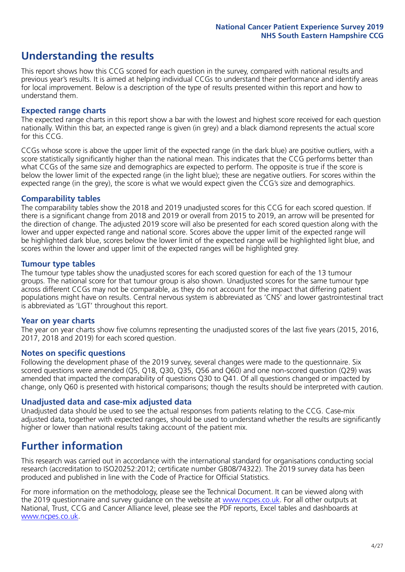### **Understanding the results**

This report shows how this CCG scored for each question in the survey, compared with national results and previous year's results. It is aimed at helping individual CCGs to understand their performance and identify areas for local improvement. Below is a description of the type of results presented within this report and how to understand them.

### **Expected range charts**

The expected range charts in this report show a bar with the lowest and highest score received for each question nationally. Within this bar, an expected range is given (in grey) and a black diamond represents the actual score for this CCG.

CCGs whose score is above the upper limit of the expected range (in the dark blue) are positive outliers, with a score statistically significantly higher than the national mean. This indicates that the CCG performs better than what CCGs of the same size and demographics are expected to perform. The opposite is true if the score is below the lower limit of the expected range (in the light blue); these are negative outliers. For scores within the expected range (in the grey), the score is what we would expect given the CCG's size and demographics.

### **Comparability tables**

The comparability tables show the 2018 and 2019 unadjusted scores for this CCG for each scored question. If there is a significant change from 2018 and 2019 or overall from 2015 to 2019, an arrow will be presented for the direction of change. The adjusted 2019 score will also be presented for each scored question along with the lower and upper expected range and national score. Scores above the upper limit of the expected range will be highlighted dark blue, scores below the lower limit of the expected range will be highlighted light blue, and scores within the lower and upper limit of the expected ranges will be highlighted grey.

### **Tumour type tables**

The tumour type tables show the unadjusted scores for each scored question for each of the 13 tumour groups. The national score for that tumour group is also shown. Unadjusted scores for the same tumour type across different CCGs may not be comparable, as they do not account for the impact that differing patient populations might have on results. Central nervous system is abbreviated as 'CNS' and lower gastrointestinal tract is abbreviated as 'LGT' throughout this report.

### **Year on year charts**

The year on year charts show five columns representing the unadjusted scores of the last five years (2015, 2016, 2017, 2018 and 2019) for each scored question.

### **Notes on specific questions**

Following the development phase of the 2019 survey, several changes were made to the questionnaire. Six scored questions were amended (Q5, Q18, Q30, Q35, Q56 and Q60) and one non-scored question (Q29) was amended that impacted the comparability of questions Q30 to Q41. Of all questions changed or impacted by change, only Q60 is presented with historical comparisons; though the results should be interpreted with caution.

### **Unadjusted data and case-mix adjusted data**

Unadjusted data should be used to see the actual responses from patients relating to the CCG. Case-mix adjusted data, together with expected ranges, should be used to understand whether the results are significantly higher or lower than national results taking account of the patient mix.

### **Further information**

This research was carried out in accordance with the international standard for organisations conducting social research (accreditation to ISO20252:2012; certificate number GB08/74322). The 2019 survey data has been produced and published in line with the Code of Practice for Official Statistics.

For more information on the methodology, please see the Technical Document. It can be viewed along with the 2019 questionnaire and survey quidance on the website at [www.ncpes.co.uk](https://www.ncpes.co.uk/supporting-documents). For all other outputs at National, Trust, CCG and Cancer Alliance level, please see the PDF reports, Excel tables and dashboards at [www.ncpes.co.uk.](https://www.ncpes.co.uk/current-results)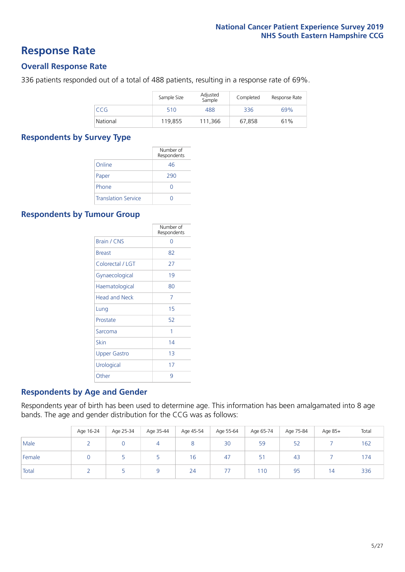### **Response Rate**

### **Overall Response Rate**

336 patients responded out of a total of 488 patients, resulting in a response rate of 69%.

|          | Sample Size | Adjusted<br>Sample | Completed | Response Rate |
|----------|-------------|--------------------|-----------|---------------|
| CCG      | 510         | 488                | 336       | 69%           |
| National | 119,855     | 111.366            | 67,858    | 61%           |

### **Respondents by Survey Type**

|                            | Number of<br>Respondents |
|----------------------------|--------------------------|
| Online                     | 46                       |
| Paper                      | 290                      |
| Phone                      |                          |
| <b>Translation Service</b> |                          |

### **Respondents by Tumour Group**

|                      | Number of<br>Respondents |
|----------------------|--------------------------|
| <b>Brain / CNS</b>   | ∩                        |
| <b>Breast</b>        | 82                       |
| Colorectal / LGT     | 27                       |
| Gynaecological       | 19                       |
| Haematological       | 80                       |
| <b>Head and Neck</b> | 7                        |
| Lung                 | 15                       |
| Prostate             | 52                       |
| Sarcoma              | 1                        |
| Skin                 | 14                       |
| <b>Upper Gastro</b>  | 1 <sub>3</sub>           |
| Urological           | 17                       |
| Other                | 9                        |

### **Respondents by Age and Gender**

Respondents year of birth has been used to determine age. This information has been amalgamated into 8 age bands. The age and gender distribution for the CCG was as follows:

|        | Age 16-24 | Age 25-34 | Age 35-44 | Age 45-54 | Age 55-64 | Age 65-74 | Age 75-84 | Age 85+ | Total |
|--------|-----------|-----------|-----------|-----------|-----------|-----------|-----------|---------|-------|
| Male   |           |           |           |           | 30        | 59        | 52        |         | 162   |
| Female |           |           |           | 16        | 47        | 51        | 43        |         | 174   |
| Total  |           |           |           | 24        | 77        | 110       | 95        | i 4     | 336   |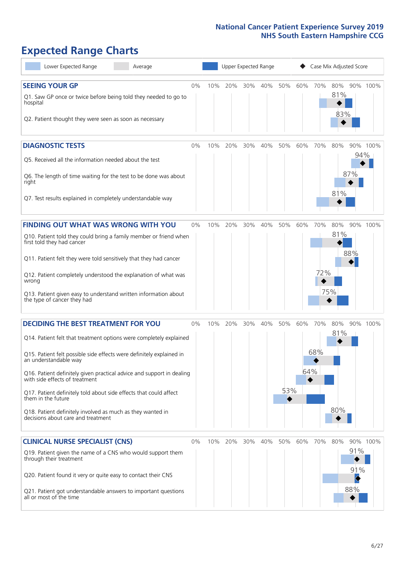# **Expected Range Charts**

| Lower Expected Range<br>Average                                                                                                                                                                                                                                                                                                                                                                                                                                                                                             |       |     | Upper Expected Range |     |     |            |            | Case Mix Adjusted Score |                   |                   |          |
|-----------------------------------------------------------------------------------------------------------------------------------------------------------------------------------------------------------------------------------------------------------------------------------------------------------------------------------------------------------------------------------------------------------------------------------------------------------------------------------------------------------------------------|-------|-----|----------------------|-----|-----|------------|------------|-------------------------|-------------------|-------------------|----------|
| <b>SEEING YOUR GP</b><br>Q1. Saw GP once or twice before being told they needed to go to<br>hospital<br>Q2. Patient thought they were seen as soon as necessary                                                                                                                                                                                                                                                                                                                                                             | 0%    | 10% | 20%                  | 30% | 40% | 50%        | 60%        | 70%                     | 80%<br>81%<br>83% |                   | 90% 100% |
| <b>DIAGNOSTIC TESTS</b><br>Q5. Received all the information needed about the test<br>Q6. The length of time waiting for the test to be done was about<br>right<br>Q7. Test results explained in completely understandable way                                                                                                                                                                                                                                                                                               | 0%    | 10% | 20%                  | 30% | 40% | 50%        | 60%        | 70%                     | 80%<br>81%        | 94%<br>87%        | 90% 100% |
| <b>FINDING OUT WHAT WAS WRONG WITH YOU</b><br>Q10. Patient told they could bring a family member or friend when<br>first told they had cancer<br>Q11. Patient felt they were told sensitively that they had cancer<br>Q12. Patient completely understood the explanation of what was<br>wrong<br>Q13. Patient given easy to understand written information about<br>the type of cancer they had                                                                                                                             | $0\%$ | 10% | 20%                  | 30% | 40% | 50%        | 60%        | 70%<br>72%              | 80%<br>81%<br>75% | 88%               | 90% 100% |
| <b>DECIDING THE BEST TREATMENT FOR YOU</b><br>Q14. Patient felt that treatment options were completely explained<br>Q15. Patient felt possible side effects were definitely explained in<br>an understandable way<br>Q16. Patient definitely given practical advice and support in dealing<br>with side effects of treatment<br>Q17. Patient definitely told about side effects that could affect<br>them in the future<br>Q18. Patient definitely involved as much as they wanted in<br>decisions about care and treatment | 0%    | 10% | 20%                  | 30% | 40% | 50%<br>53% | 60%<br>64% | 70%<br>68%              | 80%<br>81%<br>80% |                   | 90% 100% |
| <b>CLINICAL NURSE SPECIALIST (CNS)</b><br>Q19. Patient given the name of a CNS who would support them<br>through their treatment<br>Q20. Patient found it very or quite easy to contact their CNS<br>Q21. Patient got understandable answers to important questions<br>all or most of the time                                                                                                                                                                                                                              | $0\%$ | 10% | 20%                  | 30% | 40% | 50%        | 60%        | 70%                     | 80%               | 91%<br>91%<br>88% | 90% 100% |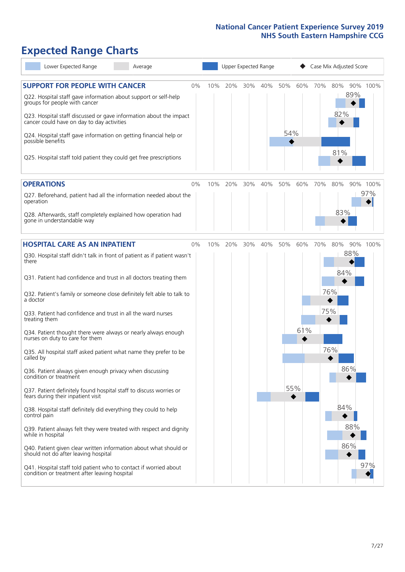# **Expected Range Charts**

| Lower Expected Range<br>Average                                                                                                                                                                                                                                                                                                                                                                                               |       |     |     | Upper Expected Range |     |            |     |     | Case Mix Adjusted Score |            |                 |
|-------------------------------------------------------------------------------------------------------------------------------------------------------------------------------------------------------------------------------------------------------------------------------------------------------------------------------------------------------------------------------------------------------------------------------|-------|-----|-----|----------------------|-----|------------|-----|-----|-------------------------|------------|-----------------|
| <b>SUPPORT FOR PEOPLE WITH CANCER</b><br>Q22. Hospital staff gave information about support or self-help<br>groups for people with cancer<br>Q23. Hospital staff discussed or gave information about the impact<br>cancer could have on day to day activities<br>Q24. Hospital staff gave information on getting financial help or<br>possible benefits<br>Q25. Hospital staff told patient they could get free prescriptions | 0%    | 10% | 20% | 30%                  | 40% | 50%<br>54% | 60% | 70% | 80%<br>82%<br>81%       | 89%        | 90% 100%        |
| <b>OPERATIONS</b><br>Q27. Beforehand, patient had all the information needed about the<br>operation                                                                                                                                                                                                                                                                                                                           | 0%    | 10% | 20% | 30%                  | 40% | 50%        | 60% | 70% | 80%                     |            | 90% 100%<br>97% |
| Q28. Afterwards, staff completely explained how operation had<br>gone in understandable way                                                                                                                                                                                                                                                                                                                                   |       |     |     |                      |     |            |     |     | 83%                     |            |                 |
| <b>HOSPITAL CARE AS AN INPATIENT</b><br>Q30. Hospital staff didn't talk in front of patient as if patient wasn't<br>there                                                                                                                                                                                                                                                                                                     | $0\%$ | 10% | 20% | 30%                  | 40% | 50%        | 60% | 70% | 80%                     | 88%        | 90% 100%        |
| Q31. Patient had confidence and trust in all doctors treating them<br>Q32. Patient's family or someone close definitely felt able to talk to<br>a doctor                                                                                                                                                                                                                                                                      |       |     |     |                      |     |            |     |     | 84%<br>76%              |            |                 |
| Q33. Patient had confidence and trust in all the ward nurses<br>treating them<br>Q34. Patient thought there were always or nearly always enough                                                                                                                                                                                                                                                                               |       |     |     |                      |     |            | 61% | 75% |                         |            |                 |
| nurses on duty to care for them<br>Q35. All hospital staff asked patient what name they prefer to be<br>called by                                                                                                                                                                                                                                                                                                             |       |     |     |                      |     |            |     |     | 76%                     |            |                 |
| Q36. Patient always given enough privacy when discussing<br>condition or treatment<br>Q37. Patient definitely found hospital staff to discuss worries or                                                                                                                                                                                                                                                                      |       |     |     |                      |     |            | 55% |     |                         | 86%        |                 |
| fears during their inpatient visit<br>Q38. Hospital staff definitely did everything they could to help<br>control pain                                                                                                                                                                                                                                                                                                        |       |     |     |                      |     |            |     |     | 84%                     |            |                 |
| Q39. Patient always felt they were treated with respect and dignity<br>while in hospital<br>Q40. Patient given clear written information about what should or                                                                                                                                                                                                                                                                 |       |     |     |                      |     |            |     |     |                         | 88%<br>86% |                 |
| should not do after leaving hospital<br>Q41. Hospital staff told patient who to contact if worried about<br>condition or treatment after leaving hospital                                                                                                                                                                                                                                                                     |       |     |     |                      |     |            |     |     |                         |            | 97%             |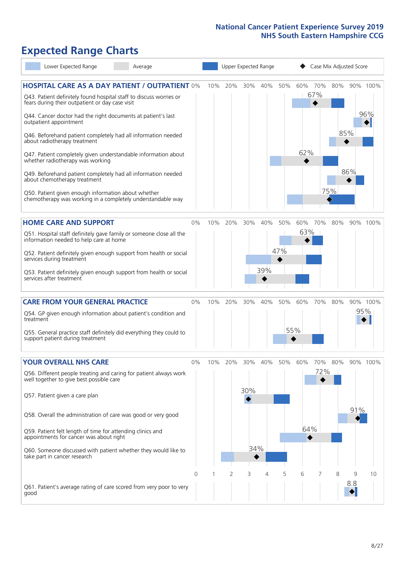# **Expected Range Charts**

| Lower Expected Range<br>Average                                                                                                                                                                                                                                                                                                                                                                                                                             |            |     |          | Upper Expected Range   |            |            |                      |                 | Case Mix Adjusted Score |          |                 |
|-------------------------------------------------------------------------------------------------------------------------------------------------------------------------------------------------------------------------------------------------------------------------------------------------------------------------------------------------------------------------------------------------------------------------------------------------------------|------------|-----|----------|------------------------|------------|------------|----------------------|-----------------|-------------------------|----------|-----------------|
| <b>HOSPITAL CARE AS A DAY PATIENT / OUTPATIENT 0%</b><br>Q43. Patient definitely found hospital staff to discuss worries or<br>fears during their outpatient or day case visit<br>Q44. Cancer doctor had the right documents at patient's last<br>outpatient appointment                                                                                                                                                                                    |            | 10% | 20%      | 30%                    | 40%        | 50%        | 60%                  | 70%<br>67%<br>◆ | 80%                     |          | 90% 100%<br>96% |
| Q46. Beforehand patient completely had all information needed<br>about radiotherapy treatment<br>Q47. Patient completely given understandable information about<br>whether radiotherapy was working<br>Q49. Beforehand patient completely had all information needed<br>about chemotherapy treatment<br>Q50. Patient given enough information about whether<br>chemotherapy was working in a completely understandable way                                  |            |     |          |                        |            |            | 62%                  | 75%             | 85%                     | 86%      |                 |
| <b>HOME CARE AND SUPPORT</b><br>Q51. Hospital staff definitely gave family or someone close all the<br>information needed to help care at home<br>Q52. Patient definitely given enough support from health or social<br>services during treatment<br>Q53. Patient definitely given enough support from health or social<br>services after treatment                                                                                                         | 0%         | 10% | 20%      | 30%                    | 40%<br>39% | 50%<br>47% | 60%<br>63%           | 70%             | 80%                     |          | 90% 100%        |
| <b>CARE FROM YOUR GENERAL PRACTICE</b><br>Q54. GP given enough information about patient's condition and<br>treatment<br>Q55. General practice staff definitely did everything they could to<br>support patient during treatment                                                                                                                                                                                                                            | $0\%$      | 10% | 20%      | 30%                    | 40%        | 50%        | 60%<br>55%           | 70%             | 80%                     | 95%      | 90% 100%        |
| <b>YOUR OVERALL NHS CARE</b><br>Q56. Different people treating and caring for patient always work<br>well together to give best possible care<br>Q57. Patient given a care plan<br>Q58. Overall the administration of care was good or very good<br>Q59. Patient felt length of time for attending clinics and<br>appointments for cancer was about right<br>Q60. Someone discussed with patient whether they would like to<br>take part in cancer research | $0\%$<br>0 | 10% | 20%<br>2 | 30%<br>30%<br>34%<br>3 | 40%<br>4   | 50%<br>5   | 60%<br>64%<br>◆<br>6 | 70%<br>72%      | 80%<br>8                | 91%<br>9 | 90% 100%<br>10  |
| Q61. Patient's average rating of care scored from very poor to very<br>good                                                                                                                                                                                                                                                                                                                                                                                 |            |     |          |                        |            |            |                      |                 |                         | 8.8      |                 |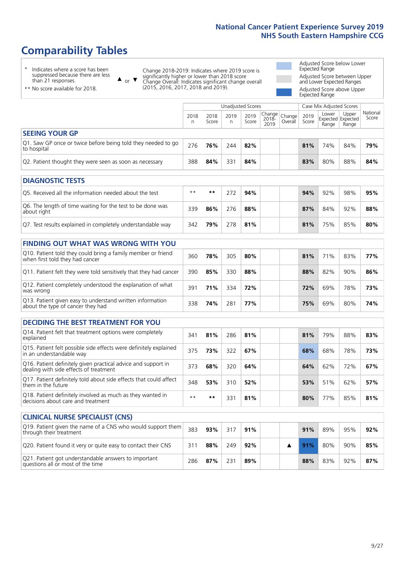# **Comparability Tables**

\* Indicates where a score has been suppressed because there are less than 21 responses.

\*\* No score available for 2018.

 $\triangle$  or  $\nabla$ 

Change 2018-2019: Indicates where 2019 score is significantly higher or lower than 2018 score Change Overall: Indicates significant change overall (2015, 2016, 2017, 2018 and 2019).

Adjusted Score below Lower Expected Range Adjusted Score between Upper and Lower Expected Ranges Adjusted Score above Upper Expected Range

|                                                                                                 |              |               |            | <b>Unadjusted Scores</b> |                         |                   |               | Case Mix Adjusted Scores            |                |                   |
|-------------------------------------------------------------------------------------------------|--------------|---------------|------------|--------------------------|-------------------------|-------------------|---------------|-------------------------------------|----------------|-------------------|
|                                                                                                 | 2018<br>n.   | 2018<br>Score | 2019<br>n. | 2019<br>Score            | Change<br>2018-<br>2019 | Change<br>Overall | 2019<br>Score | Lower<br>Expected Expected<br>Range | Upper<br>Range | National<br>Score |
| <b>SEEING YOUR GP</b>                                                                           |              |               |            |                          |                         |                   |               |                                     |                |                   |
| Q1. Saw GP once or twice before being told they needed to go<br>to hospital                     | 276          | 76%           | 244        | 82%                      |                         |                   | 81%           | 74%                                 | 84%            | 79%               |
| Q2. Patient thought they were seen as soon as necessary                                         | 388          | 84%           | 331        | 84%                      |                         |                   | 83%           | 80%                                 | 88%            | 84%               |
| <b>DIAGNOSTIC TESTS</b>                                                                         |              |               |            |                          |                         |                   |               |                                     |                |                   |
| O5. Received all the information needed about the test                                          | $\star\star$ | **            | 272        | 94%                      |                         |                   | 94%           | 92%                                 | 98%            | 95%               |
| Q6. The length of time waiting for the test to be done was<br>about right                       | 339          | 86%           | 276        | 88%                      |                         |                   | 87%           | 84%                                 | 92%            | 88%               |
| Q7. Test results explained in completely understandable way                                     | 342          | 79%           | 278        | 81%                      |                         |                   | 81%           | 75%                                 | 85%            | 80%               |
| <b>FINDING OUT WHAT WAS WRONG WITH YOU</b>                                                      |              |               |            |                          |                         |                   |               |                                     |                |                   |
| Q10. Patient told they could bring a family member or friend<br>when first told they had cancer | 360          | 78%           | 305        | 80%                      |                         |                   | 81%           | 71%                                 | 83%            | 77%               |
| Q11. Patient felt they were told sensitively that they had cancer                               | 390          | 85%           | 330        | 88%                      |                         |                   | 88%           | 82%                                 | 90%            | 86%               |
| Q12. Patient completely understood the explanation of what<br>was wrong                         | 391          | 71%           | 334        | 72%                      |                         |                   | 72%           | 69%                                 | 78%            | 73%               |
| Q13. Patient given easy to understand written information<br>about the type of cancer they had  | 338          | 74%           | 281        | 77%                      |                         |                   | 75%           | 69%                                 | 80%            | 74%               |
|                                                                                                 |              |               |            |                          |                         |                   |               |                                     |                |                   |
| <b>DECIDING THE BEST TREATMENT FOR YOU</b>                                                      |              |               |            |                          |                         |                   |               |                                     |                |                   |
| Q14. Patient felt that treatment options were completely<br>explained                           | 341          | 81%           | 286        | 81%                      |                         |                   | 81%           | 79%                                 | 88%            | 83%               |
| Q15. Patient felt possible side effects were definitely explained<br>in an understandable way   | 375          | 73%           | 322        | 67%                      |                         |                   | 68%           | 68%                                 | 78%            | 73%               |

| Q16. Patient definitely given practical advice and support in<br>dealing with side effects of treatment | 373  | 68% | 320 | 64% | 64% | 62% | 72% | 67% |
|---------------------------------------------------------------------------------------------------------|------|-----|-----|-----|-----|-----|-----|-----|
| Q17. Patient definitely told about side effects that could affect<br>them in the future                 | 348  | 53% | 310 | 52% | 53% | 51% | 62% | 57% |
| Q18. Patient definitely involved as much as they wanted in<br>decisions about care and treatment        | $**$ | **  | 331 | 81% | 80% | 77% | 85% | 81% |
|                                                                                                         |      |     |     |     |     |     |     |     |

| <b>CLINICAL NURSE SPECIALIST (CNS)</b>                                                    |     |     |     |     |  |     |     |     |     |
|-------------------------------------------------------------------------------------------|-----|-----|-----|-----|--|-----|-----|-----|-----|
| Q19. Patient given the name of a CNS who would support them<br>through their treatment    | 383 | 93% | 317 | 91% |  | 91% | 89% | 95% | 92% |
| Q20. Patient found it very or quite easy to contact their CNS                             | 311 | 88% | 249 | 92% |  | 91% | 80% | 90% | 85% |
| Q21. Patient got understandable answers to important<br>questions all or most of the time | 286 | 87% | 231 | 89% |  | 88% | 83% | 92% | 87% |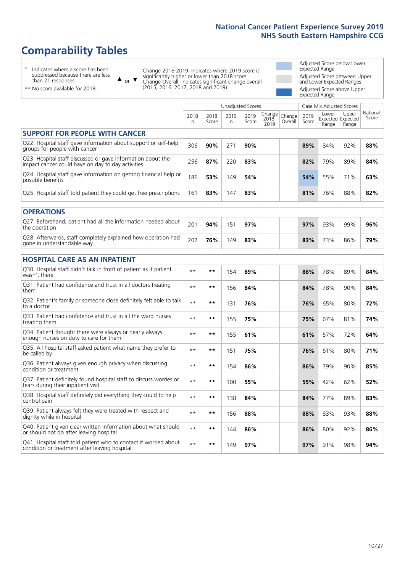# **Comparability Tables**

\* Indicates where a score has been suppressed because there are less than 21 responses.

\*\* No score available for 2018.

 $\triangle$  or  $\nabla$ 

Change 2018-2019: Indicates where 2019 score is significantly higher or lower than 2018 score Change Overall: Indicates significant change overall (2015, 2016, 2017, 2018 and 2019).

Adjusted Score below Lower Expected Range Adjusted Score between Upper and Lower Expected Ranges Adjusted Score above Upper Expected Range

|                                                                                                                   |              |               |           | <b>Unadjusted Scores</b> |                         |                   |               | Case Mix Adjusted Scores            |                |                   |
|-------------------------------------------------------------------------------------------------------------------|--------------|---------------|-----------|--------------------------|-------------------------|-------------------|---------------|-------------------------------------|----------------|-------------------|
|                                                                                                                   | 2018<br>n    | 2018<br>Score | 2019<br>n | 2019<br>Score            | Change<br>2018-<br>2019 | Change<br>Overall | 2019<br>Score | Lower<br>Expected Expected<br>Range | Upper<br>Range | National<br>Score |
| <b>SUPPORT FOR PEOPLE WITH CANCER</b>                                                                             |              |               |           |                          |                         |                   |               |                                     |                |                   |
| Q22. Hospital staff gave information about support or self-help<br>groups for people with cancer                  | 306          | 90%           | 271       | 90%                      |                         |                   | 89%           | 84%                                 | 92%            | 88%               |
| Q23. Hospital staff discussed or gave information about the<br>impact cancer could have on day to day activities  | 256          | 87%           | 220       | 83%                      |                         |                   | 82%           | 79%                                 | 89%            | 84%               |
| Q24. Hospital staff gave information on getting financial help or<br>possible benefits                            | 186          | 53%           | 149       | 54%                      |                         |                   | 54%           | 55%                                 | 71%            | 63%               |
| Q25. Hospital staff told patient they could get free prescriptions                                                | 161          | 83%           | 147       | 83%                      |                         |                   | 81%           | 76%                                 | 88%            | 82%               |
| <b>OPERATIONS</b>                                                                                                 |              |               |           |                          |                         |                   |               |                                     |                |                   |
| Q27. Beforehand, patient had all the information needed about<br>the operation                                    | 201          | 94%           | 151       | 97%                      |                         |                   | 97%           | 93%                                 | 99%            | 96%               |
| Q28. Afterwards, staff completely explained how operation had<br>gone in understandable way                       | 202          | 76%           | 149       | 83%                      |                         |                   | 83%           | 73%                                 | 86%            | 79%               |
| <b>HOSPITAL CARE AS AN INPATIENT</b>                                                                              |              |               |           |                          |                         |                   |               |                                     |                |                   |
| Q30. Hospital staff didn't talk in front of patient as if patient<br>wasn't there                                 | $\star\star$ | **            | 154       | 89%                      |                         |                   | 88%           | 78%                                 | 89%            | 84%               |
| Q31. Patient had confidence and trust in all doctors treating<br>them                                             | $\star\star$ | **            | 156       | 84%                      |                         |                   | 84%           | 78%                                 | 90%            | 84%               |
| Q32. Patient's family or someone close definitely felt able to talk<br>to a doctor                                | $* *$        | **            | 131       | 76%                      |                         |                   | 76%           | 65%                                 | 80%            | 72%               |
| Q33. Patient had confidence and trust in all the ward nurses<br>treating them                                     | $**$         | **            | 155       | 75%                      |                         |                   | 75%           | 67%                                 | 81%            | 74%               |
| Q34. Patient thought there were always or nearly always<br>enough nurses on duty to care for them                 | $* *$        | **            | 155       | 61%                      |                         |                   | 61%           | 57%                                 | 72%            | 64%               |
| Q35. All hospital staff asked patient what name they prefer to<br>be called by                                    | $**$         | **            | 151       | 75%                      |                         |                   | 76%           | 61%                                 | 80%            | 71%               |
| Q36. Patient always given enough privacy when discussing<br>condition or treatment                                | $* *$        | **            | 154       | 86%                      |                         |                   | 86%           | 79%                                 | 90%            | 85%               |
| Q37. Patient definitely found hospital staff to discuss worries or<br>fears during their inpatient visit          | $**$         | **            | 100       | 55%                      |                         |                   | 55%           | 42%                                 | 62%            | 52%               |
| Q38. Hospital staff definitely did everything they could to help<br>control pain                                  | $\star\star$ | $***$         | 138       | 84%                      |                         |                   | 84%           | 77%                                 | 89%            | 83%               |
| Q39. Patient always felt they were treated with respect and<br>dignity while in hospital                          | $\star\star$ | **            | 156       | 88%                      |                         |                   | 88%           | 83%                                 | 93%            | 88%               |
| Q40. Patient given clear written information about what should<br>or should not do after leaving hospital         | $**$         | **            | 144       | 86%                      |                         |                   | 86%           | 80%                                 | 92%            | 86%               |
| Q41. Hospital staff told patient who to contact if worried about<br>condition or treatment after leaving hospital | $**$         | **            | 149       | 97%                      |                         |                   | 97%           | 91%                                 | 98%            | 94%               |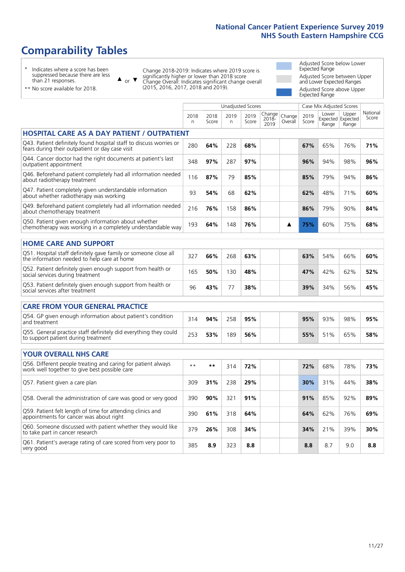# **Comparability Tables**

\* Indicates where a score has been suppressed because there are less than 21 responses.

\*\* No score available for 2018.

 $\triangle$  or  $\nabla$ 

Change 2018-2019: Indicates where 2019 score is significantly higher or lower than 2018 score Change Overall: Indicates significant change overall (2015, 2016, 2017, 2018 and 2019).

Adjusted Score below Lower Expected Range Adjusted Score between Upper and Lower Expected Ranges Adjusted Score above Upper Expected Range

|                                                                                                                       |                      |               | <b>Unadjusted Scores</b> |               |                         |                   |               | Case Mix Adjusted Scores            |                |                   |
|-----------------------------------------------------------------------------------------------------------------------|----------------------|---------------|--------------------------|---------------|-------------------------|-------------------|---------------|-------------------------------------|----------------|-------------------|
|                                                                                                                       | 2018<br>$\mathsf{n}$ | 2018<br>Score | 2019<br>n                | 2019<br>Score | Change<br>2018-<br>2019 | Change<br>Overall | 2019<br>Score | Lower<br>Expected Expected<br>Range | Upper<br>Range | National<br>Score |
| <b>HOSPITAL CARE AS A DAY PATIENT / OUTPATIENT</b>                                                                    |                      |               |                          |               |                         |                   |               |                                     |                |                   |
| Q43. Patient definitely found hospital staff to discuss worries or<br>fears during their outpatient or day case visit | 280                  | 64%           | 228                      | 68%           |                         |                   | 67%           | 65%                                 | 76%            | 71%               |
| Q44. Cancer doctor had the right documents at patient's last<br>outpatient appointment                                | 348                  | 97%           | 287                      | 97%           |                         |                   | 96%           | 94%                                 | 98%            | 96%               |
| Q46. Beforehand patient completely had all information needed<br>about radiotherapy treatment                         | 116                  | 87%           | 79                       | 85%           |                         |                   | 85%           | 79%                                 | 94%            | 86%               |
| Q47. Patient completely given understandable information<br>about whether radiotherapy was working                    | 93                   | 54%           | 68                       | 62%           |                         |                   | 62%           | 48%                                 | 71%            | 60%               |
| Q49. Beforehand patient completely had all information needed<br>about chemotherapy treatment                         | 216                  | 76%           | 158                      | 86%           |                         |                   | 86%           | 79%                                 | 90%            | 84%               |
| Q50. Patient given enough information about whether<br>chemotherapy was working in a completely understandable way    | 193                  | 64%           | 148                      | 76%           |                         | ▲                 | 75%           | 60%                                 | 75%            | 68%               |
| <b>HOME CARE AND SUPPORT</b>                                                                                          |                      |               |                          |               |                         |                   |               |                                     |                |                   |
| Q51. Hospital staff definitely gave family or someone close all<br>the information needed to help care at home        | 327                  | 66%           | 268                      | 63%           |                         |                   | 63%           | 54%                                 | 66%            | 60%               |
| Q52. Patient definitely given enough support from health or<br>social services during treatment                       | 165                  | 50%           | 130                      | 48%           |                         |                   | 47%           | 42%                                 | 62%            | 52%               |
| Q53. Patient definitely given enough support from health or<br>social services after treatment                        | 96                   | 43%           | 77                       | 38%           |                         |                   | 39%           | 34%                                 | 56%            | 45%               |
| <b>CARE FROM YOUR GENERAL PRACTICE</b>                                                                                |                      |               |                          |               |                         |                   |               |                                     |                |                   |
| Q54. GP given enough information about patient's condition<br>and treatment                                           | 314                  | 94%           | 258                      | 95%           |                         |                   | 95%           | 93%                                 | 98%            | 95%               |
| Q55. General practice staff definitely did everything they could<br>to support patient during treatment               | 253                  | 53%           | 189                      | 56%           |                         |                   | 55%           | 51%                                 | 65%            | 58%               |
| <b>YOUR OVERALL NHS CARE</b>                                                                                          |                      |               |                          |               |                         |                   |               |                                     |                |                   |
| Q56. Different people treating and caring for patient always<br>work well together to give best possible care         | $* *$                | $***$         | 314                      | 72%           |                         |                   | 72%           | 68%                                 | 78%            | 73%               |
| Q57. Patient given a care plan                                                                                        | 309                  | 31%           | 238                      | 29%           |                         |                   | 30%           | 31%                                 | 44%            | 38%               |
| Q58. Overall the administration of care was good or very good                                                         | 390                  | 90%           | 321                      | 91%           |                         |                   | 91%           | 85%                                 | 92%            | 89%               |
| Q59. Patient felt length of time for attending clinics and<br>appointments for cancer was about right                 | 390                  | 61%           | 318                      | 64%           |                         |                   | 64%           | 62%                                 | 76%            | 69%               |
| Q60. Someone discussed with patient whether they would like<br>to take part in cancer research                        | 379                  | 26%           | 308                      | 34%           |                         |                   | 34%           | 21%                                 | 39%            | 30%               |
| Q61. Patient's average rating of care scored from very poor to<br>very good                                           | 385                  | 8.9           | 323                      | 8.8           |                         |                   | 8.8           | 8.7                                 | 9.0            | 8.8               |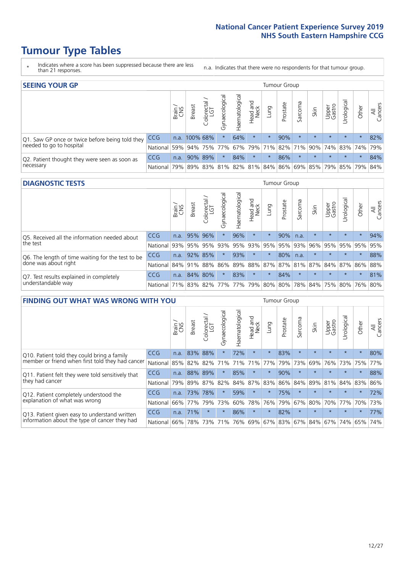# **Tumour Type Tables**

- \* Indicates where a score has been suppressed because there are less than 21 responses.
- n.a. Indicates that there were no respondents for that tumour group.

| <b>SEEING YOUR GP</b>                           |            |              |                 |                   |                    |                |                  |                 | Tumour Group |         |         |                 |                                                     |         |                |
|-------------------------------------------------|------------|--------------|-----------------|-------------------|--------------------|----------------|------------------|-----------------|--------------|---------|---------|-----------------|-----------------------------------------------------|---------|----------------|
|                                                 |            | Brain<br>CNS | <b>Breast</b>   | Colorectal<br>LGT | ᠊ᢛ<br>Gynaecologic | Haematological | Head and<br>Neck | pung            | Prostate     | Sarcoma | Skin    | Upper<br>Gastro | Irological                                          | Other   | All<br>Cancers |
| Q1. Saw GP once or twice before being told they | <b>CCG</b> |              | n.a. 100% 68%   |                   |                    | 64%            | $\star$          | $\star$         | 90%          | $\star$ | $\star$ | $\star$         | $\star$                                             | $\star$ | 82%            |
| needed to go to hospital                        | National   |              | 59% 94% 75% 77% |                   |                    |                |                  | 67% 79% 71% 82% |              | 71%     |         |                 | 90%   74%   83%   74%                               |         | 79%            |
| Q2. Patient thought they were seen as soon as   | <b>CCG</b> | n.a.         |                 | 90% 89%           |                    | 84%            | $\star$          | $\star$         | 86%          | $\star$ | $\star$ | $\star$         | $\star$                                             | $\star$ | 84%            |
| necessary                                       | National   |              |                 |                   |                    |                |                  |                 |              |         |         |                 | 79% 89% 83% 81% 82% 81% 84% 86% 69% 85% 79% 85% 79% |         | 84%            |

#### **DIAGNOSTIC TESTS** Tumour Group

|                                                   |                                          | Brain | <b>Breast</b> | Colorectal<br>LGT | ᠊ᢛ<br>Gynaecologic | Haematological | Head and<br>Neck | Lung    | Prostate | Sarcoma | Skin    | Upper<br>Gastro | rological                                   | Other   | All<br>Cancers |
|---------------------------------------------------|------------------------------------------|-------|---------------|-------------------|--------------------|----------------|------------------|---------|----------|---------|---------|-----------------|---------------------------------------------|---------|----------------|
| Q5. Received all the information needed about     | <b>CCG</b>                               | n.a.  | 95% 96%       |                   | $\star$            | 96%            | $\star$          | $\star$ | 90%      | n.a.    |         | $\star$         | $\star$                                     | $\star$ | 94%            |
| the test                                          | National                                 | 93%   |               | 95% 95%           |                    | 93% 95%        |                  | 93% 95% | 95%      | 93%     | 96%     |                 | 95% 95%                                     | 95%     | 95%            |
| Q6. The length of time waiting for the test to be | <b>CCG</b>                               | n.a.  | 92% 85%       |                   | $\star$            | 93%            | $\star$          | $\star$ | 80%      | n.a.    | $\star$ | $\star$         | $\star$                                     | $\star$ | 88%            |
| done was about right                              | <b>National</b>                          |       | 84% 91% 88%   |                   |                    |                |                  |         |          |         |         |                 | 86% 89% 88% 87% 87% 81% 87% 84% 87% 86% 88% |         |                |
| Q7. Test results explained in completely          | <b>CCG</b>                               | n.a.  |               | 84% 80%           | $\star$            | 83%            | $\star$          | $\star$ | 84%      | $\star$ | $\star$ | $\star$         | $\star$                                     | $\star$ | 81%            |
| understandable way                                | National 71% 83% 82% 77% 77% 79% 80% 80% |       |               |                   |                    |                |                  |         |          |         |         |                 | 78% 84% 75% 80% 76% 80%                     |         |                |

| <b>FINDING OUT WHAT WAS WRONG WITH YOU</b>        |            |       |               |                                  |                |                |                        |             | <b>Tumour Group</b> |         |         |                 |            |         |                |
|---------------------------------------------------|------------|-------|---------------|----------------------------------|----------------|----------------|------------------------|-------------|---------------------|---------|---------|-----------------|------------|---------|----------------|
|                                                   |            | Brain | <b>Breast</b> | ╮<br>olorectal.<br>LGT<br>$\cup$ | Gynaecological | Haematological | ad and<br>Neck<br>Head | Lung        | Prostate            | Sarcoma | Skin    | Upper<br>Gastro | Urological | Other   | All<br>Cancers |
| Q10. Patient told they could bring a family       | <b>CCG</b> | n.a.  | 83%           | 88%                              | $\star$        | 72%            | $\star$                | $\star$     | 83%                 | $\star$ | $\star$ | $\star$         | $\star$    | $\star$ | 80%            |
| member or friend when first told they had cancer  | National   | 85%   | 82%           | 82%                              | 71%            | 71%            | 71%                    | 77%         | 79%                 | 73%     | 69%     | 76%             | 73%        | 75%     | 77%            |
| Q11. Patient felt they were told sensitively that | <b>CCG</b> | n.a.  | 88%           | 89%                              | $\star$        | 85%            | $\star$                | $\star$     | 90%                 | $\star$ | $\star$ | $\star$         | $\star$    | $\star$ | 88%            |
| they had cancer                                   | National   | 79%   |               | 89% 87%                          | 82%            |                |                        | 84% 87% 83% | 86%                 | 84%     | 89%     | 81%             | 84% 83%    |         | 86%            |
| Q12. Patient completely understood the            | <b>CCG</b> | n.a.  | 73%           | 78%                              | $\star$        | 59%            | $\star$                | $^\star$    | 75%                 | $\star$ | $\star$ | $\star$         | $\star$    | $\star$ | 72%            |
| explanation of what was wrong                     | National   | 66%   | 77%           | 79%                              | 73%            | 60%            | 78%                    | 76%         | 79%                 | 67%     | 80%     | 70%             | 77%        | 70%     | 73%            |
| Q13. Patient given easy to understand written     | <b>CCG</b> | n.a.  | 71%           | $\star$                          | $\star$        | 86%            | $\star$                | $\star$     | 82%                 | $\star$ | $\star$ | $\star$         | $\star$    | $\star$ | 77%            |
| information about the type of cancer they had     | National   | 66%   | 78%           | 73%                              | 71%            | 76%            |                        | 69% 67% 83% |                     | 67%     | 84%     |                 | 67% 74%    | 65%     | 74%            |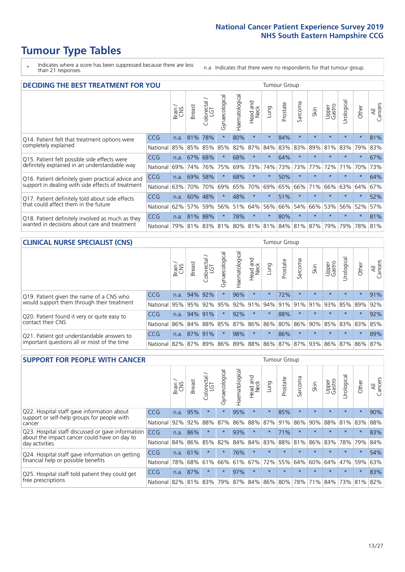# **Tumour Type Tables**

\* Indicates where a score has been suppressed because there are less than 21 responses.

n.a. Indicates that there were no respondents for that tumour group.

| <b>DECIDING THE BEST TREATMENT FOR YOU</b>         |          |       |               |                             |                |                |                         |         | <b>Tumour Group</b> |              |                                         |                 |            |         |                |
|----------------------------------------------------|----------|-------|---------------|-----------------------------|----------------|----------------|-------------------------|---------|---------------------|--------------|-----------------------------------------|-----------------|------------|---------|----------------|
|                                                    |          | Brain | <b>Breast</b> | olorectal.<br>LGT<br>$\cup$ | Gynaecological | Haematological | ead and<br>Neck<br>Head | Lung    | Prostate            | arcoma<br>ιñ | Skin                                    | Upper<br>Gastro | Jrological | Other   | All<br>Cancers |
| Q14. Patient felt that treatment options were      | CCG      | n.a.  | 81%           | 78%                         | $\star$        | 80%            | $\star$                 | $\star$ | 84%                 | $\star$      | $\star$                                 | $\star$         | $\star$    | $\star$ | 81%            |
| completely explained                               | National | 85%   | 85%           | 85%                         | 85%            | 82%            | 87%                     | 84%     | 83%                 | 83%          | 89%                                     | 81%             | 83%        | 79%     | 83%            |
| Q15. Patient felt possible side effects were       | CCG      | n.a.  | 67%           | 68%                         | $\star$        | 68%            | $\star$                 | $\star$ | 64%                 | $\star$      |                                         | $\star$         | $\star$    | $\star$ | 67%            |
| definitely explained in an understandable way      | National | 69%   | 74%           | 76%                         | 75%            | 69%            | 73%                     | 74%     | 73%                 | 73%          | 77%                                     | 72%             | 71%        | 70%     | 73%            |
| Q16. Patient definitely given practical advice and | CCG      | n.a.  | 69%           | 58%                         | $\star$        | 68%            | $\star$                 | $\star$ | 50%                 | $\star$      | $\star$                                 | $\star$         | $\star$    | $\star$ | 64%            |
| support in dealing with side effects of treatment  | National | 63%   | 70%           | 70%                         | 69%            | 65%            | 70%                     | 69%     | 65%                 | 66%          | 71%                                     | 66%             | 63%        | 64%     | 67%            |
| Q17. Patient definitely told about side effects    | CCG      | n.a.  | 60%           | 48%                         | $\star$        | 48%            | $\star$                 | $\star$ | 51%                 | $\star$      | $\star$                                 | $\star$         | $\star$    | $\star$ | 52%            |
| that could affect them in the future               | National | 62%   | 57%           | 59%                         | 56%            | 51%            | 64%                     | 56%     | 66%                 | 54%          | 66%                                     | 53%             | 56%        | 52%     | 57%            |
| Q18. Patient definitely involved as much as they   | CCG      | n.a.  | 81%           | 88%                         | $\star$        | 78%            | $\star$                 | $\star$ | 80%                 | $\star$      | $\star$                                 | $\star$         | $\star$    | $\star$ | 81%            |
| wanted in decisions about care and treatment       | National | 79%   |               |                             |                |                |                         |         |                     |              | 81% 83% 81% 80% 81% 81% 84% 81% 87% 79% |                 | 79%        | 78% 81% |                |

#### **CLINICAL NURSE SPECIALIST (CNS)** Tumour Group

|                                             |            | Brain | <b>Breast</b> | Colorectal<br>LGT | $\sigma$<br>Gynaecologic | Haematological | Head and<br>Neck | Lung    | Prostate | Sarcoma | Skin                        | Upper<br>Gastro | Urologica       | Other   | All<br>Cancers |
|---------------------------------------------|------------|-------|---------------|-------------------|--------------------------|----------------|------------------|---------|----------|---------|-----------------------------|-----------------|-----------------|---------|----------------|
| Q19. Patient given the name of a CNS who    | <b>CCG</b> | n.a.  |               | 94% 92%           |                          | 96%            | $\star$          | $\star$ | 72%      | $\star$ | $\star$                     | $\star$         | $\star$         | $\star$ | 91%            |
| would support them through their treatment  | National   | 95%   | 95%           | 92%               | 95%                      |                | 92% 91%          | 94%     | 91%      | 91%     | 91%                         | 93%             | 85%             | 89%     | 92%            |
| Q20. Patient found it very or quite easy to | <b>CCG</b> | n.a.  |               | 94% 91%           | $\star$                  | 92%            | $\star$          | $\star$ | 88%      |         | $\star$                     | $\star$         | $\star$         | $\star$ | 92%            |
| contact their CNS                           | National   | 86%   | $84\%$        | 88%               | 85%                      |                | 87% 86% 86%      |         | 80%      | 86%     | 90%                         |                 | 85% 83% 83% 85% |         |                |
| Q21. Patient got understandable answers to  | <b>CCG</b> | n.a.  |               | 87% 91%           | $\star$                  | 98%            | $\star$          | $\star$ | 86%      | $\star$ | $\star$                     | $\star$         | $\star$         | $\star$ | 89%            |
| important questions all or most of the time | National   | 82%   | 87%           | 89%               |                          |                |                  |         |          |         | 86% 89% 88% 86% 87% 87% 93% |                 | 86% 87% 86% 87% |         |                |

| <b>SUPPORT FOR PEOPLE WITH CANCER</b>                                                             |            |       |               |            |                |                |                        |         | <b>Tumour Group</b> |                      |         |                 |            |         |                |
|---------------------------------------------------------------------------------------------------|------------|-------|---------------|------------|----------------|----------------|------------------------|---------|---------------------|----------------------|---------|-----------------|------------|---------|----------------|
|                                                                                                   |            | Brain | <b>Breast</b> | Colorectal | Gynaecological | Haematological | ad and<br>Neck<br>Head | Lung    | Prostate            | arcoma<br>$\sqrt{2}$ | Skin    | Upper<br>Gastro | Jrological | Other   | All<br>Cancers |
| Q22. Hospital staff gave information about<br>support or self-help groups for people with         | <b>CCG</b> | n.a.  | 95%           | $\star$    | $\star$        | 95%            | $\star$                | $\star$ | 85%                 | $\star$              | $\star$ | $\star$         | $\star$    | $\star$ | 90%            |
| cancer                                                                                            | National   | 92%   | 92%           | 88%        | 87%            | 86%            | 88%                    |         | 87% 91%             | 86%                  | 90%     | 88%             | 81%        | 83%     | 88%            |
| Q23. Hospital staff discussed or gave information<br>about the impact cancer could have on day to | CCG        | n.a.  | 86%           | $\star$    | $\star$        | 93%            | $\star$                | $\star$ | 71%                 | $\star$              | $\star$ | $\star$         | $\star$    | $\star$ | 83%            |
| day activities                                                                                    | National   | 84%   | 86%           | 85%        | 82%            | 84%            | 84%                    | 83%     | 88%                 | 81%                  | 86%     | 83%             | 78%        | 79%     | 84%            |
| Q24. Hospital staff gave information on getting                                                   | <b>CCG</b> | n.a.  | 61%           | $\star$    | $\star$        | 76%            | $\ast$                 | $\star$ | $\star$             | $\star$              |         | $\star$         | $\star$    | $\star$ | 54%            |
| financial help or possible benefits                                                               | National   | 78%   | 68%           | 61%        | 66%            | 61%            | 67%                    |         | 72% 55%             | 64%                  | 60%     | 64%             | 47%        | 59%     | 63%            |
| Q25. Hospital staff told patient they could get                                                   | CCG        | n.a.  | 87%           |            | $\star$        | 97%            | $\star$                | $\star$ | $\star$             | $\star$              |         | $\star$         | $\star$    | $\ast$  | 83%            |
| free prescriptions                                                                                | National   | 82%   |               | 81% 83%    | 79%            | 87%            |                        |         | 84% 86% 80%         | 78%                  | 71%     | 84%             |            | 73% 81% | 82%            |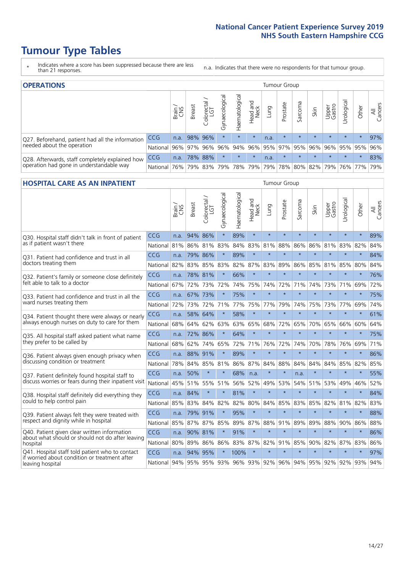# **Tumour Type Tables**

- \* Indicates where a score has been suppressed because there are less than 21 responses.
- n.a. Indicates that there were no respondents for that tumour group.

| <b>OPERATIONS</b>                                |            |       |               |                   |                   |                |                  |             | Tumour Group |         |         |                 |                                             |         |                |
|--------------------------------------------------|------------|-------|---------------|-------------------|-------------------|----------------|------------------|-------------|--------------|---------|---------|-----------------|---------------------------------------------|---------|----------------|
|                                                  |            | Brain | <b>Breast</b> | Colorectal<br>LGT | त<br>Gynaecologic | Haematological | Head and<br>Neck | <b>Dung</b> | Prostate     | Sarcoma | Skin    | Upper<br>Gastro | ᅙ<br>Urologica                              | Other   | All<br>Cancers |
| Q27. Beforehand, patient had all the information | CCG        | n.a.  |               | 98% 96%           | $\star$           | $\star$        | $\star$          | n.a.        | $\star$      | $\star$ | $\star$ | $\star$         | $\star$                                     | $\star$ | 97%            |
| needed about the operation                       | National I | 96%   | 97%           | 96%               |                   |                |                  |             |              |         |         |                 | 96% 94% 96% 95% 97% 95% 96% 96% 95% 95% 95% |         | 96%            |
| Q28. Afterwards, staff completely explained how  | <b>CCG</b> | n.a.  |               | 78% 88%           | $\star$           | $\star$        | $\star$          | n.a.        | $\star$      | $\star$ | $\star$ | $\star$         | $\star$                                     | $\star$ | 83%            |
| operation had gone in understandable way         | National I | 76%   |               | 79% 83%           |                   | 79% 78% 79%    |                  |             | 79% 78%      |         |         |                 | 80%   82%   79%   76%   77%                 |         | 79%            |

#### **HOSPITAL CARE AS AN INPATIENT** Tumour Group

|                                                                                                  |                                                              | Brain | <b>Breast</b> | $\frac{\text{Colored}}{\text{LGT}}$ | Gynaecological | Haematological | Head and<br>Neck | Lung    | Prostate | Sarcoma | Skin    | Upper<br>Gastro | Urological | Other   | Cancers<br>₹ |
|--------------------------------------------------------------------------------------------------|--------------------------------------------------------------|-------|---------------|-------------------------------------|----------------|----------------|------------------|---------|----------|---------|---------|-----------------|------------|---------|--------------|
| Q30. Hospital staff didn't talk in front of patient                                              | CCG                                                          | n.a.  | 94%           | 86%                                 | $\star$        | 89%            | $\star$          | $\star$ | $\star$  | $\star$ | $\star$ | $\star$         | $\star$    | $\star$ | 89%          |
| as if patient wasn't there                                                                       | National                                                     | 81%   | 86%           | 81%                                 | 83%            | 84%            | 83%              | 81%     | 88%      | 86%     | 86%     | 81%             | 83%        | 82%     | 84%          |
| 031. Patient had confidence and trust in all                                                     | CCG                                                          | n.a.  |               | 79% 86%                             | $\star$        | 89%            | $\star$          | $\star$ | $\star$  | $\star$ | $\star$ | $\star$         | $\star$    | $\star$ | 84%          |
| doctors treating them                                                                            | National                                                     | 82%   | 83%           | 85%                                 | 83%            | 82%            |                  | 87% 83% | 89%      | 86%     | 85%     | 81%             | 85%        | 80%     | 84%          |
| Q32. Patient's family or someone close definitely                                                | CCG                                                          | n.a.  |               | 78% 81%                             |                | 66%            | $\star$          | $\star$ | $\star$  | $\star$ | $\star$ | $\star$         | $\star$    | $\star$ | 76%          |
| felt able to talk to a doctor                                                                    | National                                                     | 67%   | 72%           | 73%                                 | 72%            | 74%            | 75%              | 74%     | 72%      | 71%     | 74%     | 73%             | 71%        | 69%     | 72%          |
| Q33. Patient had confidence and trust in all the                                                 | <b>CCG</b>                                                   | n.a.  | 67% 73%       |                                     |                | 75%            | $\star$          | $\star$ | $\star$  | $\star$ | $\star$ | $\star$         | $\star$    | $\star$ | 75%          |
| ward nurses treating them                                                                        | National                                                     | 72%   |               | 73% 72%                             | 71%            |                | 77% 75%          | 77%     | 79%      | 74%     | 75%     | 73%             | 77%        | 69%     | 74%          |
| Q34. Patient thought there were always or nearly                                                 | CCG                                                          | n.a.  |               | 58% 64%                             | $\star$        | 58%            | $\star$          | $\star$ | $\star$  | $\star$ | $\star$ | $\star$         | $\star$    | $\star$ | 61%          |
| always enough nurses on duty to care for them                                                    | National                                                     | 68%   |               | 64% 62%                             | 63%            |                | 63% 65%          | 68%     | 72%      | 65%     |         | 70% 65%         | 66%        | 60%     | 64%          |
| Q35. All hospital staff asked patient what name                                                  | CCG                                                          | n.a.  | 72% 86%       |                                     | $\star$        | 64%            | $\star$          | $\star$ | $\star$  | $\star$ | $\star$ | $\star$         | $\star$    | $\star$ | 75%          |
| they prefer to be called by                                                                      | National                                                     | 68%   | 62%           | 74%                                 | 65%            | 72%            | 71%              | 76%     | 72%      | 74%     | 70%     | 78%             | 76%        | 69%     | 71%          |
| Q36. Patient always given enough privacy when                                                    | CCG                                                          | n.a.  |               | 88% 91%                             |                | 89%            | $\star$          | $\star$ | $\star$  | $\star$ | $\star$ | $\star$         | $\star$    | $\star$ | 86%          |
| discussing condition or treatment                                                                | National                                                     | 78%   |               | 84% 85%                             | 81%            |                | 86% 87% 84%      |         | 88%      | 84%     | 84%     | 84%             | 85%        | 82%     | 85%          |
| Q37. Patient definitely found hospital staff to                                                  | <b>CCG</b>                                                   | n.a.  | 50%           | $\star$                             | $\star$        | 68%            | n.a.             | $\star$ | $\star$  | n.a.    | $\star$ | $\star$         | $\star$    | $\star$ | 55%          |
| discuss worries or fears during their inpatient visit                                            | National                                                     | 45%   | 51%           | 55% 51%                             |                | 56%            | 52%              | 49%     | 53%      | 54%     | 51%     | 53%             | 49%        | 46%     | 52%          |
| Q38. Hospital staff definitely did everything they                                               | CCG                                                          |       | n.a. 84%      | $\star$                             | $\star$        | 81%            | $\star$          | $\star$ | $\star$  | $\star$ | $\star$ | $\star$         | $\star$    | $\star$ | 84%          |
| could to help control pain                                                                       | National                                                     | 85%   | 83%           | 84%                                 | 82%            | 82%            | 80%              | 84%     | 85%      | 83%     | 85%     | 82%             | 81%        | 82%     | 83%          |
| Q39. Patient always felt they were treated with                                                  | CCG                                                          | n.a.  | 79% 91%       |                                     | $\star$        | 95%            | $\star$          | $\star$ | $\star$  | $\star$ | $\star$ | $\star$         | $\star$    | $\star$ | 88%          |
| respect and dignity while in hospital                                                            | National                                                     | 85%   | 87%           | 87%                                 | 85%            | 89%            | 87%              | 88%     | 91%      | 89%     | 89%     | 88%             | 90%        | 86%     | 88%          |
| Q40. Patient given clear written information<br>about what should or should not do after leaving | <b>CCG</b>                                                   | n.a.  | 90% 81%       |                                     |                | 91%            | $\star$          | $\star$ | $\star$  | $\star$ | $\star$ | $\star$         | $\star$    | $\star$ | 86%          |
| hospital                                                                                         | National                                                     | 80%   |               | 89% 86%                             | 86%            |                | 83% 87% 82%      |         | 91%      | 85%     | 90%     | 82%             | 87%        | 83%     | 86%          |
| Q41. Hospital staff told patient who to contact<br>if worried about condition or treatment after | CCG                                                          | n.a.  | 94% 95%       |                                     | $\star$        | 100%           | $\star$          | $\star$ | $\star$  | $\star$ | $\star$ | $\star$         | $\star$    | $\star$ | 97%          |
| leaving hospital                                                                                 | National 94% 95% 95% 93% 96% 93% 92% 96% 94% 95% 92% 92% 93% |       |               |                                     |                |                |                  |         |          |         |         |                 |            |         | 94%          |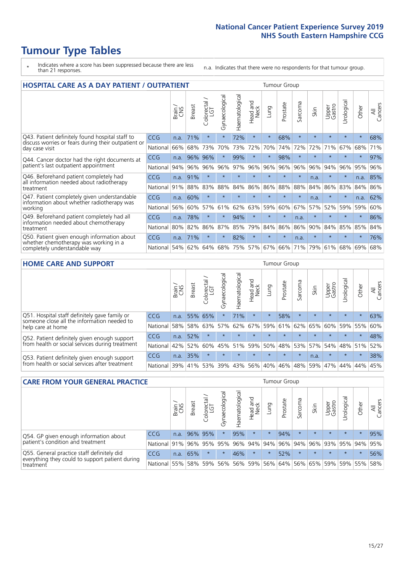# **Tumour Type Tables**

- \* Indicates where a score has been suppressed because there are less than 21 responses.
- n.a. Indicates that there were no respondents for that tumour group.

| <b>HOSPITAL CARE AS A DAY PATIENT / OUTPATIENT</b>                     |            |       |               |                            |                |                |                         |         | <b>Tumour Group</b> |         |         |                 |            |         |                |
|------------------------------------------------------------------------|------------|-------|---------------|----------------------------|----------------|----------------|-------------------------|---------|---------------------|---------|---------|-----------------|------------|---------|----------------|
|                                                                        |            | Brain | <b>Breast</b> | ╮<br>olorectal<br>LGT<br>Ũ | Gynaecological | Haematological | ead and<br>Neck<br>Head | Lung    | Prostate            | Sarcoma | Skin    | Upper<br>Gastro | Urological | Other   | All<br>Cancers |
| Q43. Patient definitely found hospital staff to                        | CCG        | n.a.  | 71%           | $\star$                    | $\star$        | 72%            | $\star$                 | $\star$ | 68%                 | $\star$ | $\star$ | $\star$         | $\star$    | $\star$ | 68%            |
| discuss worries or fears during their outpatient or<br>day case visit  | National   | 66%   | 68%           | 73%                        | 70%            | 73%            | 72%                     | 70%     | 74%                 | 72%     | 72%     | 71%             | 67%        | 68%     | 71%            |
| Q44. Cancer doctor had the right documents at                          | <b>CCG</b> | n.a.  | 96%           | 96%                        |                | 99%            | $\star$                 | $\star$ | 98%                 | $\star$ |         |                 | $\star$    | $\ast$  | 97%            |
| patient's last outpatient appointment                                  | National   | 94%   | 96%           | 96%                        | 96%            | 97%            | 96%                     | 96%     | 96%                 | 96%     | 96%     | 94%             | 96%        | 95%     | 96%            |
| Q46. Beforehand patient completely had                                 | CCG        | n.a.  | 91%           | $\star$                    |                | $\star$        | $\star$                 | $\star$ | $\star$             | $\star$ | n.a.    | $\star$         | $\star$    | n.a.    | 85%            |
| all information needed about radiotherapy<br>treatment                 | National   | 91%   | 88%           | 83%                        | 88%            | 84%            | 86%                     | 86%     | 88%                 | 88%     | 84%     | 86%             | 83%        | 84%     | 86%            |
| Q47. Patient completely given understandable                           | <b>CCG</b> | n.a.  | 60%           | $\star$                    |                |                | $\star$                 | $\star$ | $\star$             | $\star$ | n.a.    | $\star$         | $\star$    | n.a.    | 62%            |
| information about whether radiotherapy was<br>working                  | National   | 56%   | 60%           | 57%                        | 61%            | 62%            | 63%                     | 59%     | 60%                 | 67%     | 57%     | 52%             | 59%        | 59%     | 60%            |
| Q49. Beforehand patient completely had all                             | CCG        | n.a.  | 78%           | $\star$                    | $\star$        | 94%            | $\star$                 | $\star$ | $\star$             | n.a.    | $\star$ | $\star$         | $\star$    | $\star$ | 86%            |
| information needed about chemotherapy<br>treatment                     | National   | 80%   | 82%           | 86%                        | 87%            | 85%            | 79%                     | 84%     | 86%                 | 86%     | 90%     | 84%             | 85%        | 85%     | 84%            |
| Q50. Patient given enough information about                            | <b>CCG</b> | n.a.  | 71%           | $\star$                    | $\star$        | 82%            | $\star$                 | $\star$ | $\star$             | n.a.    | 大       |                 |            | $\star$ | 76%            |
| whether chemotherapy was working in a<br>completely understandable way | National   | 54%   | 62%           | 64%                        | 68%            | 75%            |                         | 57% 67% | 66%                 | 71%     | 79%     | 61%             | 68%        | 69%     | 68%            |

#### **HOME CARE AND SUPPORT** Tumour Group

|                                                                                                                   |            | Brain | <b>Breast</b> | olorectal<br>LGT<br>Ü | ᢛ<br>Gynaecologic | Haematological | ad and<br>Neck<br>Head | <b>Dung</b> | Prostate | Sarcoma | Skin    | Upper<br>Gastro | rological   | Other   | All<br>Cancers |
|-------------------------------------------------------------------------------------------------------------------|------------|-------|---------------|-----------------------|-------------------|----------------|------------------------|-------------|----------|---------|---------|-----------------|-------------|---------|----------------|
| Q51. Hospital staff definitely gave family or<br>someone close all the information needed to<br>help care at home | <b>CCG</b> | n.a.  | 55% 65%       |                       |                   | 71%            | $\star$                | $\star$     | 58%      | $\star$ | $\star$ | $\star$         | $\star$     | $\star$ | 63%            |
|                                                                                                                   | National   | 58%   | 58%           | 63%                   |                   | $57\%$ 62% 67% |                        |             | 59% 61%  |         | 62% 65% | 60%             | 59% 55%     |         | 60%            |
| Q52. Patient definitely given enough support<br>from health or social services during treatment                   | <b>CCG</b> | n.a.  | 52%           |                       | $\star$           | $\star$        | $\star$                | $\star$     | $\star$  | $\star$ | $\star$ | $\star$         | $\star$     | $\star$ | 48%            |
|                                                                                                                   | National   | 42%   | 52%           | 60%                   |                   | 45% 51%        | 59%                    | 50%         | 48%      |         | 53% 57% |                 | 54% 48% 51% |         | 52%            |
| Q53. Patient definitely given enough support<br>from health or social services after treatment                    | CCG        | n.a.  | 35%           |                       |                   |                | $\star$                | $\star$     | $\star$  | $\star$ | n.a.    | $\star$         | $\star$     | $\star$ | 38%            |
|                                                                                                                   | National l | 39%   | 41% 53%       |                       | 39%               | $ 43\% $       | 56%                    | 40%         | 46%      | 48%     | 59%     | 47%             | 44%         | 44%     | 45%            |

| <b>CARE FROM YOUR GENERAL PRACTICE</b>                                                                     |              |       |               |                   |                |                                     | Tumour Group     |         |                                     |         |         |                 |           |         |                |  |
|------------------------------------------------------------------------------------------------------------|--------------|-------|---------------|-------------------|----------------|-------------------------------------|------------------|---------|-------------------------------------|---------|---------|-----------------|-----------|---------|----------------|--|
|                                                                                                            |              | Brain | <b>Breast</b> | Colorectal<br>LGT | Gynaecological | $\overline{\sigma}$<br>Haematologic | Head and<br>Neck | Lung    | Prostate                            | Sarcoma | Skin    | Upper<br>Gastro | Urologica | Other   | All<br>Cancers |  |
| Q54. GP given enough information about<br>patient's condition and treatment                                | <b>CCG</b>   | n.a.  |               | 96% 95%           | $\star$        | 95%                                 | $\star$          | $\star$ | 94%                                 | $\star$ | $\star$ | $\star$         | $\star$   | $\star$ | 95%            |  |
|                                                                                                            | National 91% |       |               | 96% 95%           | 95%            |                                     |                  |         | 96% 94% 94% 96% 94% 96% 93% 95% 94% |         |         |                 |           |         | 95%            |  |
| Q55. General practice staff definitely did<br>everything they could to support patient during<br>treatment | CCG          | n.a.  | 65%           | $\star$           | $\star$        | 46%                                 | $\star$          | $\star$ | 52%                                 | $\star$ | $\star$ | $\star$         | $\star$   | $\star$ | 56%            |  |
|                                                                                                            | National     | 55%   |               | 58% 59%           | 56%            |                                     | 56% 59%          |         | 56% 64% 56% 65% 59% 59% 55%         |         |         |                 |           |         | 58%            |  |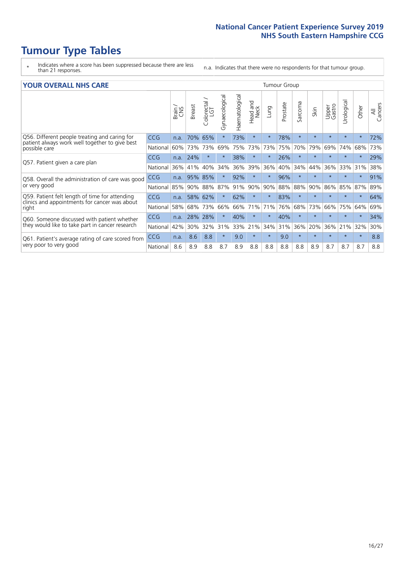# **Tumour Type Tables**

- \* Indicates where a score has been suppressed because there are less than 21 responses.
- n.a. Indicates that there were no respondents for that tumour group.

#### **YOUR OVERALL NHS CARE** THE TWO CONTROLLER THE THE THROUP CHANGE THE TUMOUR GROUP

|            | Brain<br>CNS | <b>Breast</b> | Colorectal<br>LGT | Gynaecological | Haematological | ead and<br>Neck<br>Head | Lung    | Prostate | Sarcoma | Skin    | Upper<br>Gastro | लु<br>Urologia | Other   | All<br>Cancers |  |  |  |  |
|------------|--------------|---------------|-------------------|----------------|----------------|-------------------------|---------|----------|---------|---------|-----------------|----------------|---------|----------------|--|--|--|--|
| <b>CCG</b> | n.a.         | 70%           | 65%               |                | 73%            | $\star$                 | $\star$ | 78%      | $\star$ | $\star$ | $\star$         | $\star$        | $\ast$  | 72%            |  |  |  |  |
| National   | 60%          | 73%           | 73%               | 69%            | 75%            | 73%                     | 73%     | 75%      | 70%     | 79%     | 69%             | 74%            | 68%     | 73%            |  |  |  |  |
| <b>CCG</b> | n.a.         | 24%           | $\star$           |                | 38%            | $\star$                 | $\star$ | 26%      | $\star$ | $\star$ | $\star$         | $\star$        | $\ast$  | 29%            |  |  |  |  |
| National   | 36%          | 41%           | 40%               | 34%            | 36%            | 39%                     | 36%     | 40%      | 34%     | 44%     | 36%             | 33%            | 31%     | 38%            |  |  |  |  |
| <b>CCG</b> | n.a.         | 95%           | 85%               |                | 92%            | $\star$                 | $\star$ | 96%      | $\star$ | $\star$ |                 |                |         | 91%            |  |  |  |  |
| National   |              |               | 88%               | 87%            | 91%            | 90%                     | 90%     | 88%      | 88%     | 90%     | 86%             | 85%            | 87%     | 89%            |  |  |  |  |
| CCG        | n.a.         | 58%           | 62%               |                | 62%            | $\star$                 | $\star$ | 83%      | $\star$ | $\star$ |                 |                | $\star$ | 64%            |  |  |  |  |
| National   | 58%          | 68%           | 73%               | 66%            | 66%            | 71%                     | 71%     | 76%      | 68%     | 73%     | 66%             | 75%            | 64%     | 69%            |  |  |  |  |
| <b>CCG</b> | n.a.         | 28%           | 28%               |                | 40%            | $^\star$                | $\star$ | 40%      | $\star$ | $\star$ |                 |                | $\star$ | 34%            |  |  |  |  |
| National   | 42%          | 30%           | 32%               | 31%            | 33%            | 21%                     | 34%     | 31%      | 36%     | 20%     | 36%             | 21%            | 32%     | 30%            |  |  |  |  |
| <b>CCG</b> | n.a.         | 8.6           | 8.8               | $\star$        | 9.0            | $\star$                 | $\star$ | 9.0      | $\star$ | $\star$ | $\star$         | $\star$        | $\ast$  | 8.8            |  |  |  |  |
| National   | 8.6          | 8.9           | 8.8               | 8.7            | 8.9            | 8.8                     | 8.8     | 8.8      | 8.8     | 8.9     | 8.7             | 8.7            | 8.7     | 8.8            |  |  |  |  |
|            |              |               | 85%               | 90%            |                |                         |         |          |         |         |                 |                |         |                |  |  |  |  |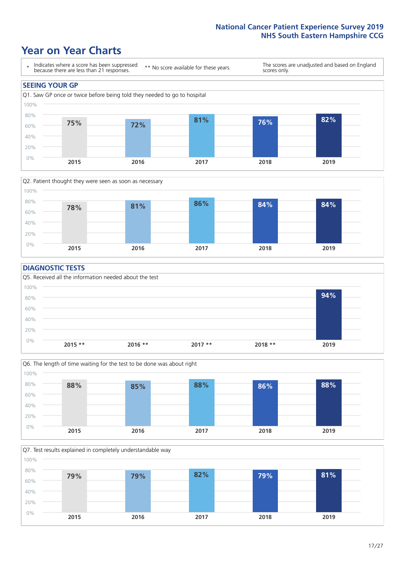### **Year on Year Charts**





### **DIAGNOSTIC TESTS**





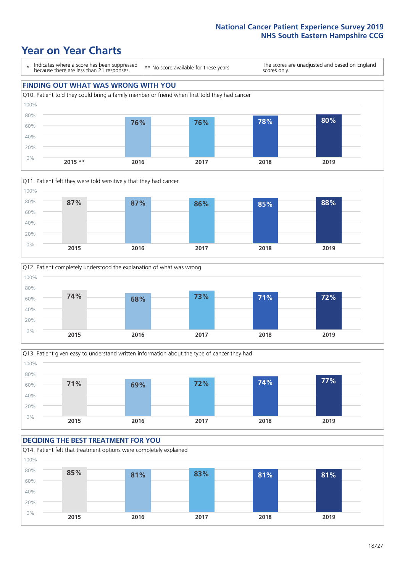







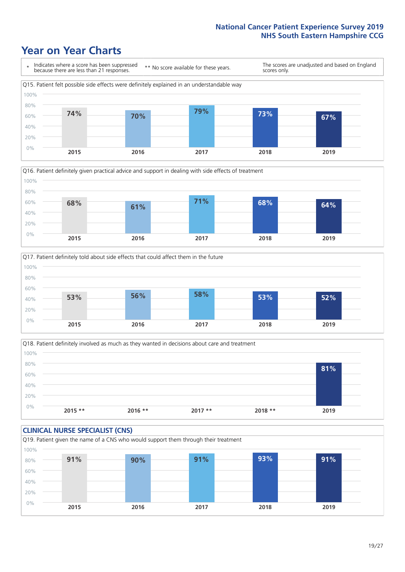





Q18. Patient definitely involved as much as they wanted in decisions about care and treatment  $0%$ 20% 40% 60% 80% 100% **2015 \*\* 2016 \*\* 2017 \*\* 2018 \*\* 2019 81%**

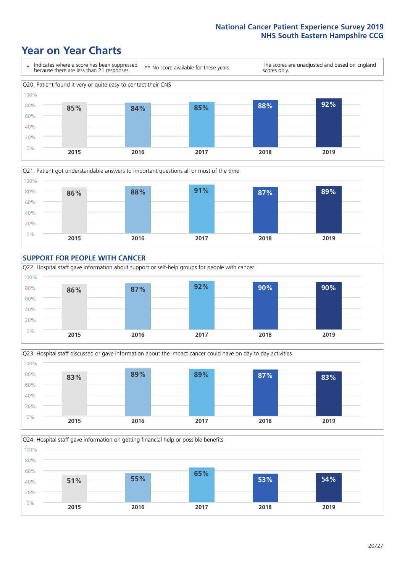









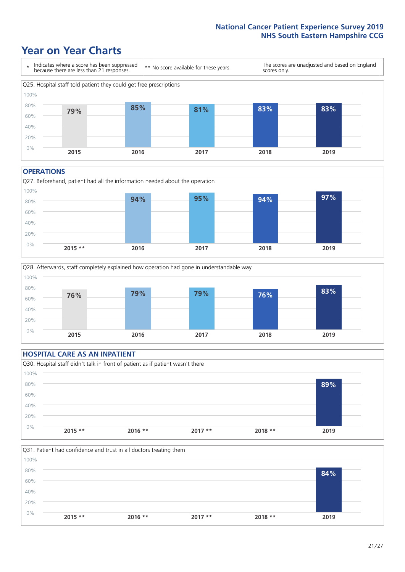### **Year on Year Charts**



#### **OPERATIONS**





### **HOSPITAL CARE AS AN INPATIENT** Q30. Hospital staff didn't talk in front of patient as if patient wasn't there 0% 20% 40% 60% 80% 100% **2015 \*\* 2016 \*\* 2017 \*\* 2018 \*\* 2019 89%**

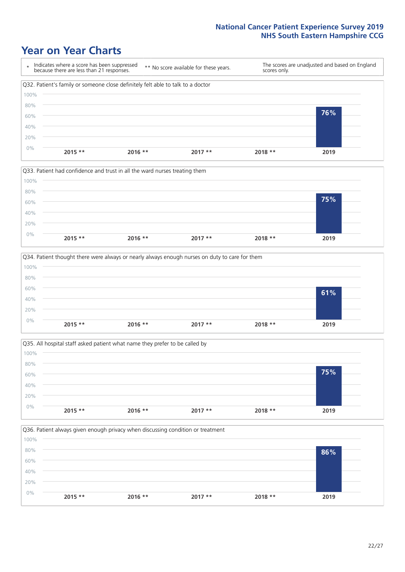







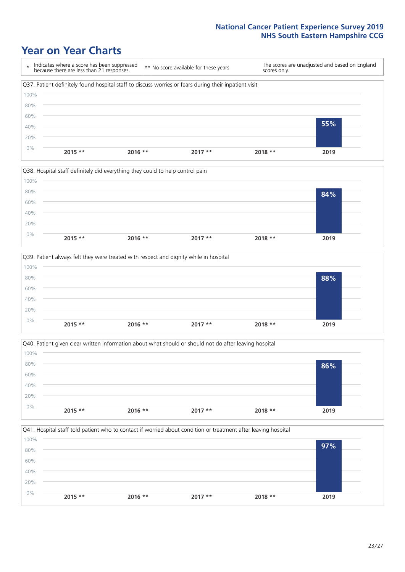







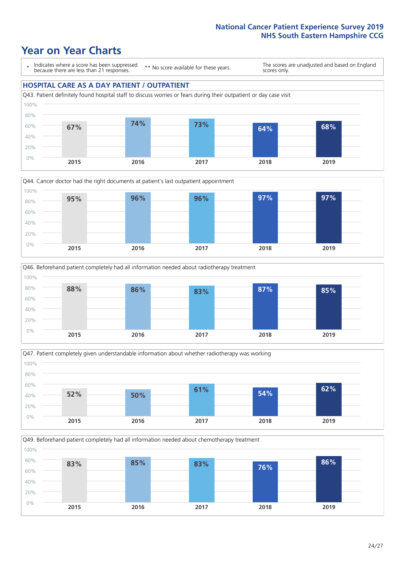### **Year on Year Charts**

\* Indicates where a score has been suppressed because there are less than 21 responses.

\*\* No score available for these years.

The scores are unadjusted and based on England scores only.

### **HOSPITAL CARE AS A DAY PATIENT / OUTPATIENT**









Q49. Beforehand patient completely had all information needed about chemotherapy treatment

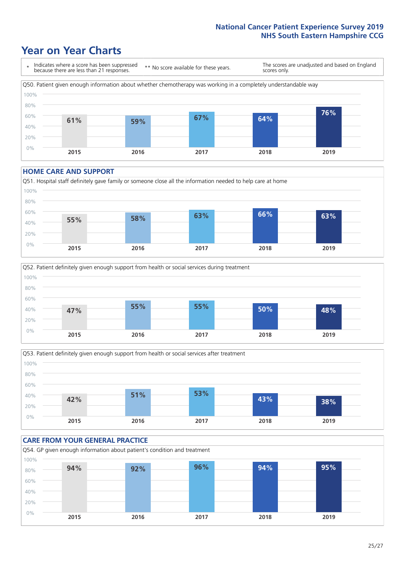### **Year on Year Charts**



#### **HOME CARE AND SUPPORT**







#### **CARE FROM YOUR GENERAL PRACTICE** Q54. GP given enough information about patient's condition and treatment 0% 20% 40% 60% 80% 100% **2015 2016 2017 2018 2019 94% 92% 96% 94% 95%**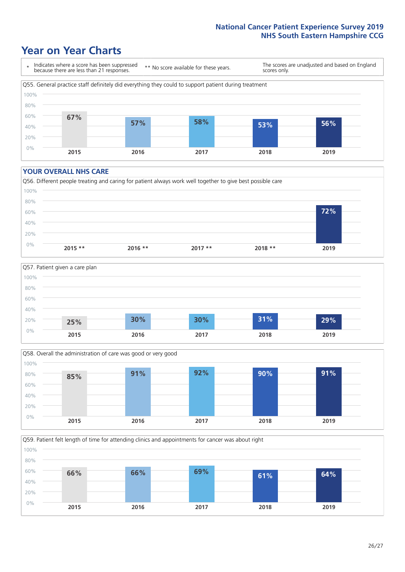### **Year on Year Charts**

\* Indicates where a score has been suppressed because there are less than 21 responses. \*\* No score available for these years. The scores are unadjusted and based on England scores only. Q55. General practice staff definitely did everything they could to support patient during treatment 0% 20% 40% 60% 80% 100% **2015 2016 2017 2018 2019 67% 57% 58% 53% 56%**

#### **YOUR OVERALL NHS CARE**







Q59. Patient felt length of time for attending clinics and appointments for cancer was about right